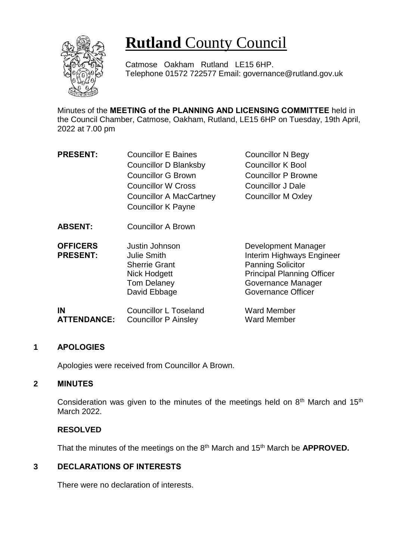

# **Rutland** County Council

Catmose Oakham Rutland LE15 6HP. Telephone 01572 722577 Email: governance@rutland.gov.uk

Minutes of the **MEETING of the PLANNING AND LICENSING COMMITTEE** held in the Council Chamber, Catmose, Oakham, Rutland, LE15 6HP on Tuesday, 19th April, 2022 at 7.00 pm

| <b>PRESENT:</b>                    | <b>Councillor E Baines</b>                                                                                         | <b>Councillor N Begy</b>                                                                                                                                             |
|------------------------------------|--------------------------------------------------------------------------------------------------------------------|----------------------------------------------------------------------------------------------------------------------------------------------------------------------|
|                                    | <b>Councillor D Blanksby</b>                                                                                       | <b>Councillor K Bool</b>                                                                                                                                             |
|                                    | <b>Councillor G Brown</b>                                                                                          | <b>Councillor P Browne</b>                                                                                                                                           |
|                                    | <b>Councillor W Cross</b>                                                                                          | <b>Councillor J Dale</b>                                                                                                                                             |
|                                    | <b>Councillor A MacCartney</b>                                                                                     | <b>Councillor M Oxley</b>                                                                                                                                            |
|                                    | <b>Councillor K Payne</b>                                                                                          |                                                                                                                                                                      |
| <b>ABSENT:</b>                     | <b>Councillor A Brown</b>                                                                                          |                                                                                                                                                                      |
| <b>OFFICERS</b><br><b>PRESENT:</b> | Justin Johnson<br><b>Julie Smith</b><br><b>Sherrie Grant</b><br>Nick Hodgett<br><b>Tom Delaney</b><br>David Ebbage | Development Manager<br>Interim Highways Engineer<br><b>Panning Solicitor</b><br><b>Principal Planning Officer</b><br>Governance Manager<br><b>Governance Officer</b> |

| IN                 | Councillor L Toseland       | <b>Ward Member</b> |
|--------------------|-----------------------------|--------------------|
| <b>ATTENDANCE:</b> | <b>Councillor P Ainsley</b> | <b>Ward Member</b> |

## **1 APOLOGIES**

Apologies were received from Councillor A Brown.

## **2 MINUTES**

Consideration was given to the minutes of the meetings held on  $8<sup>th</sup>$  March and 15<sup>th</sup> March 2022.

# **RESOLVED**

That the minutes of the meetings on the 8th March and 15th March be **APPROVED.**

## **3 DECLARATIONS OF INTERESTS**

There were no declaration of interests.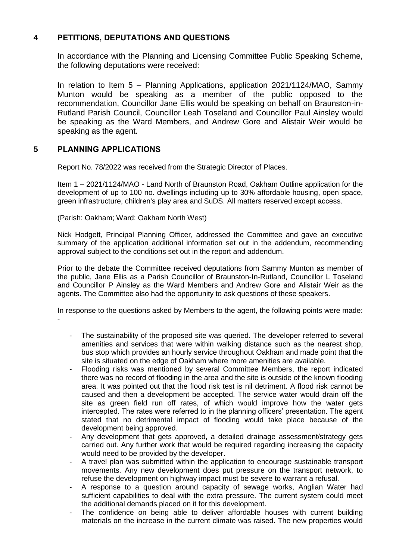# **4 PETITIONS, DEPUTATIONS AND QUESTIONS**

In accordance with the Planning and Licensing Committee Public Speaking Scheme, the following deputations were received:

In relation to Item 5 – Planning Applications, application 2021/1124/MAO, Sammy Munton would be speaking as a member of the public opposed to the recommendation, Councillor Jane Ellis would be speaking on behalf on Braunston-in-Rutland Parish Council, Councillor Leah Toseland and Councillor Paul Ainsley would be speaking as the Ward Members, and Andrew Gore and Alistair Weir would be speaking as the agent.

# **5 PLANNING APPLICATIONS**

Report No. 78/2022 was received from the Strategic Director of Places.

Item 1 – 2021/1124/MAO - Land North of Braunston Road, Oakham Outline application for the development of up to 100 no. dwellings including up to 30% affordable housing, open space, green infrastructure, children's play area and SuDS. All matters reserved except access.

(Parish: Oakham; Ward: Oakham North West)

Nick Hodgett, Principal Planning Officer, addressed the Committee and gave an executive summary of the application additional information set out in the addendum, recommending approval subject to the conditions set out in the report and addendum.

Prior to the debate the Committee received deputations from Sammy Munton as member of the public, Jane Ellis as a Parish Councillor of Braunston-In-Rutland, Councillor L Toseland and Councillor P Ainsley as the Ward Members and Andrew Gore and Alistair Weir as the agents. The Committee also had the opportunity to ask questions of these speakers.

In response to the questions asked by Members to the agent, the following points were made: -

- The sustainability of the proposed site was queried. The developer referred to several amenities and services that were within walking distance such as the nearest shop, bus stop which provides an hourly service throughout Oakham and made point that the site is situated on the edge of Oakham where more amenities are available.
- Flooding risks was mentioned by several Committee Members, the report indicated there was no record of flooding in the area and the site is outside of the known flooding area. It was pointed out that the flood risk test is nil detriment. A flood risk cannot be caused and then a development be accepted. The service water would drain off the site as green field run off rates, of which would improve how the water gets intercepted. The rates were referred to in the planning officers' presentation. The agent stated that no detrimental impact of flooding would take place because of the development being approved.
- Any development that gets approved, a detailed drainage assessment/strategy gets carried out. Any further work that would be required regarding increasing the capacity would need to be provided by the developer.
- A travel plan was submitted within the application to encourage sustainable transport movements. Any new development does put pressure on the transport network, to refuse the development on highway impact must be severe to warrant a refusal.
- A response to a question around capacity of sewage works, Anglian Water had sufficient capabilities to deal with the extra pressure. The current system could meet the additional demands placed on it for this development.
- The confidence on being able to deliver affordable houses with current building materials on the increase in the current climate was raised. The new properties would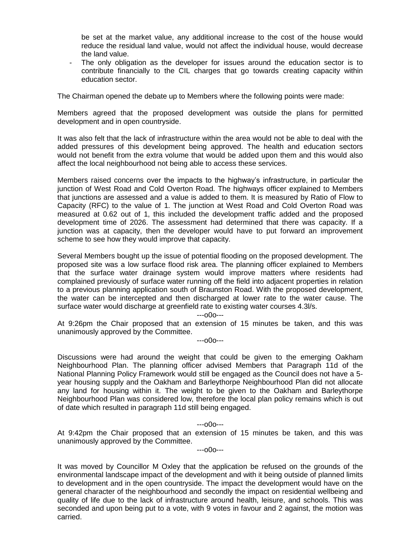be set at the market value, any additional increase to the cost of the house would reduce the residual land value, would not affect the individual house, would decrease the land value.

The only obligation as the developer for issues around the education sector is to contribute financially to the CIL charges that go towards creating capacity within education sector.

The Chairman opened the debate up to Members where the following points were made:

Members agreed that the proposed development was outside the plans for permitted development and in open countryside.

It was also felt that the lack of infrastructure within the area would not be able to deal with the added pressures of this development being approved. The health and education sectors would not benefit from the extra volume that would be added upon them and this would also affect the local neighbourhood not being able to access these services.

Members raised concerns over the impacts to the highway's infrastructure, in particular the junction of West Road and Cold Overton Road. The highways officer explained to Members that junctions are assessed and a value is added to them. It is measured by Ratio of Flow to Capacity (RFC) to the value of 1. The junction at West Road and Cold Overton Road was measured at 0.62 out of 1, this included the development traffic added and the proposed development time of 2026. The assessment had determined that there was capacity. If a junction was at capacity, then the developer would have to put forward an improvement scheme to see how they would improve that capacity.

Several Members bought up the issue of potential flooding on the proposed development. The proposed site was a low surface flood risk area. The planning officer explained to Members that the surface water drainage system would improve matters where residents had complained previously of surface water running off the field into adjacent properties in relation to a previous planning application south of Braunston Road. With the proposed development, the water can be intercepted and then discharged at lower rate to the water cause. The surface water would discharge at greenfield rate to existing water courses 4.3l/s.

---o0o---

At 9:26pm the Chair proposed that an extension of 15 minutes be taken, and this was unanimously approved by the Committee.

---o0o---

Discussions were had around the weight that could be given to the emerging Oakham Neighbourhood Plan. The planning officer advised Members that Paragraph 11d of the National Planning Policy Framework would still be engaged as the Council does not have a 5 year housing supply and the Oakham and Barleythorpe Neighbourhood Plan did not allocate any land for housing within it. The weight to be given to the Oakham and Barleythorpe Neighbourhood Plan was considered low, therefore the local plan policy remains which is out of date which resulted in paragraph 11d still being engaged.

#### ---o0o---

At 9:42pm the Chair proposed that an extension of 15 minutes be taken, and this was unanimously approved by the Committee.

---o0o---

It was moved by Councillor M Oxley that the application be refused on the grounds of the environmental landscape impact of the development and with it being outside of planned limits to development and in the open countryside. The impact the development would have on the general character of the neighbourhood and secondly the impact on residential wellbeing and quality of life due to the lack of infrastructure around health, leisure, and schools. This was seconded and upon being put to a vote, with 9 votes in favour and 2 against, the motion was carried.